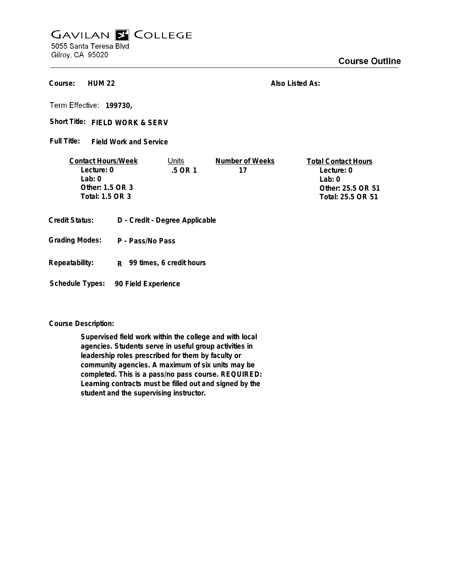## **GAVILAN E COLLEGE** 5055 Santa Teresa Blvd

Gilroy, CA 95020

**HUM 22 Course:**

**Also Listed As:**

**199730,**

Short Title: FIELD WORK & SERV

**Field Work and Service Full Title:**

| <b>Contact Hours/Week</b> | Units  | Number of Weeks | <b>Total Contact Hours</b> |
|---------------------------|--------|-----------------|----------------------------|
| Lecture: 0                | 5 OR 1 |                 | Lecture: 0                 |
| $1$ ab: $0$               |        |                 | l ab: 0                    |
| Other: $1.5$ OR 3         |        |                 | Other: 25.5 OR 51          |
| Total: 1.5 OR 3           |        |                 | Total: 25.5 OR 51          |
|                           |        |                 |                            |

- **Credit Status: D Credit Degree Applicable**
- **P Pass/No Pass Grading Modes:**
- **Repeatability: R 99 times, 6 credit hours**

**Schedule Types: 90 Field Experience**

**Course Description:**

**Supervised field work within the college and with local agencies. Students serve in useful group activities in leadership roles prescribed for them by faculty or community agencies. A maximum of six units may be completed. This is a pass/no pass course. REQUIRED: Learning contracts must be filled out and signed by the student and the supervising instructor.**